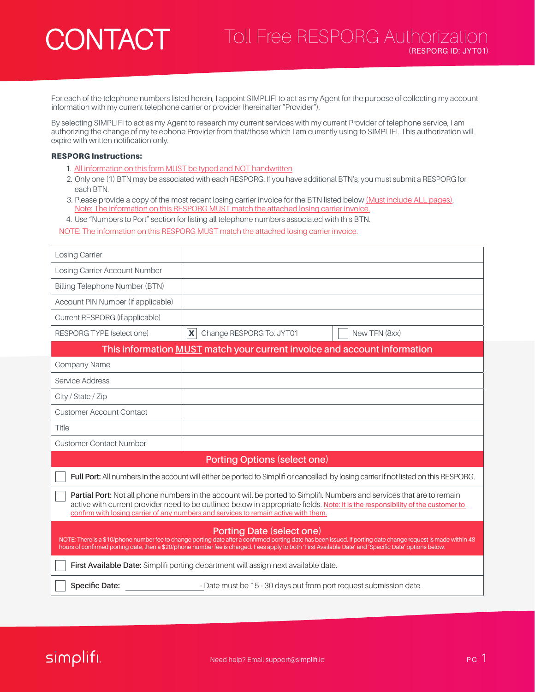## **CONTACT**

For each of the telephone numbers listed herein, I appoint SIMPLIFI to act as my Agent for the purpose of collecting my account information with my current telephone carrier or provider (hereinafter "Provider").

By selecting SIMPLIFI to act as my Agent to research my current services with my current Provider of telephone service, I am authorizing the change of my telephone Provider from that/those which I am currently using to SIMPLIFI. This authorization will expire with written notification only.

## RESPORG Instructions:

- 1. All information on this form MUST be typed and NOT handwritten
- 2. Only one (1) BTN may be associated with each RESPORG. If you have additional BTN's, you must submit a RESPORG for each BTN.
- 3. Please provide a copy of the most recent losing carrier invoice for the BTN listed below (Must include ALL pages). Note: The information on this RESPORG MUST match the attached losing carrier invoice.
- 4. Use "Numbers to Port" section for listing all telephone numbers associated with this BTN.

NOTE: The information on this RESPORG MUST match the attached losing carrier invoice.

| <b>Losing Carrier</b>                                                                                                                                                                                                                                                                                                                                        |                                                                    |               |
|--------------------------------------------------------------------------------------------------------------------------------------------------------------------------------------------------------------------------------------------------------------------------------------------------------------------------------------------------------------|--------------------------------------------------------------------|---------------|
| Losing Carrier Account Number                                                                                                                                                                                                                                                                                                                                |                                                                    |               |
| Billing Telephone Number (BTN)                                                                                                                                                                                                                                                                                                                               |                                                                    |               |
| Account PIN Number (if applicable)                                                                                                                                                                                                                                                                                                                           |                                                                    |               |
| Current RESPORG (if applicable)                                                                                                                                                                                                                                                                                                                              |                                                                    |               |
| RESPORG TYPE (select one)                                                                                                                                                                                                                                                                                                                                    | X<br>Change RESPORG To: JYT01                                      | New TFN (8xx) |
| This information <b>MUST</b> match your current invoice and account information                                                                                                                                                                                                                                                                              |                                                                    |               |
| Company Name                                                                                                                                                                                                                                                                                                                                                 |                                                                    |               |
| Service Address                                                                                                                                                                                                                                                                                                                                              |                                                                    |               |
| City / State / Zip                                                                                                                                                                                                                                                                                                                                           |                                                                    |               |
| <b>Customer Account Contact</b>                                                                                                                                                                                                                                                                                                                              |                                                                    |               |
| Title                                                                                                                                                                                                                                                                                                                                                        |                                                                    |               |
| <b>Customer Contact Number</b>                                                                                                                                                                                                                                                                                                                               |                                                                    |               |
| <b>Porting Options (select one)</b>                                                                                                                                                                                                                                                                                                                          |                                                                    |               |
| Full Port: All numbers in the account will either be ported to Simplifi or cancelled by losing carrier if not listed on this RESPORG.                                                                                                                                                                                                                        |                                                                    |               |
| Partial Port: Not all phone numbers in the account will be ported to Simplifi. Numbers and services that are to remain<br>active with current provider need to be outlined below in appropriate fields. Note: It is the responsibility of the customer to<br>confirm with losing carrier of any numbers and services to remain active with them.             |                                                                    |               |
| <b>Porting Date (select one)</b><br>NOTE: There is a \$10/phone number fee to change porting date after a confirmed porting date has been issued. If porting date change request is made within 48<br>hours of confirmed porting date, then a \$20/phone number fee is charged. Fees apply to both 'First Available Date' and 'Specific Date' options below. |                                                                    |               |
| First Available Date: Simplifi porting department will assign next available date.                                                                                                                                                                                                                                                                           |                                                                    |               |
| Specific Date:                                                                                                                                                                                                                                                                                                                                               | - Date must be 15 - 30 days out from port request submission date. |               |